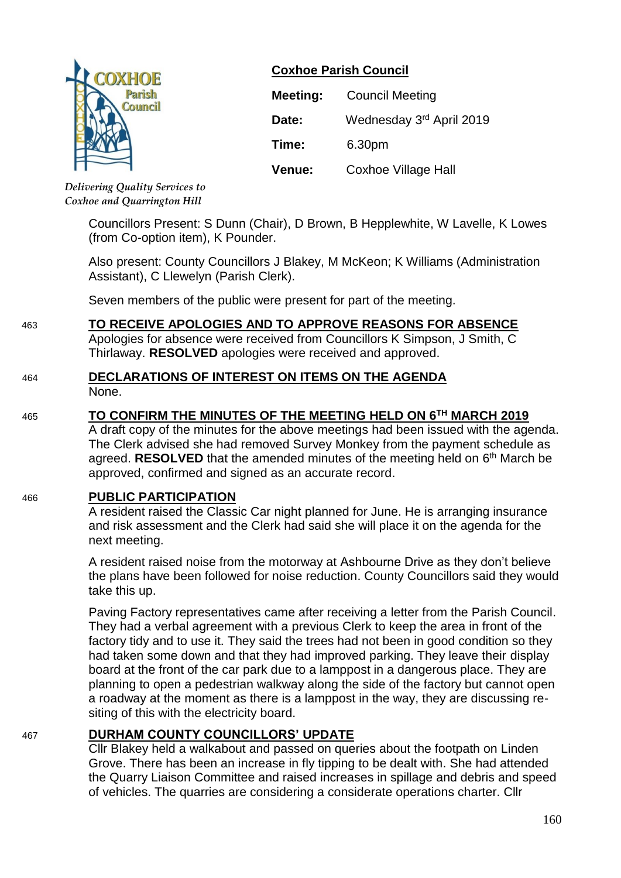

# **Coxhoe Parish Council**

| Meeting: | <b>Council Meeting</b>     |  |
|----------|----------------------------|--|
| Date:    | Wednesday 3rd April 2019   |  |
| Time:    | 6.30pm                     |  |
| Venue:   | <b>Coxhoe Village Hall</b> |  |

*Delivering Quality Services to Coxhoe and Quarrington Hill*

> Councillors Present: S Dunn (Chair), D Brown, B Hepplewhite, W Lavelle, K Lowes (from Co-option item), K Pounder.

Also present: County Councillors J Blakey, M McKeon; K Williams (Administration Assistant), C Llewelyn (Parish Clerk).

Seven members of the public were present for part of the meeting.

# 463 **TO RECEIVE APOLOGIES AND TO APPROVE REASONS FOR ABSENCE**

Apologies for absence were received from Councillors K Simpson, J Smith, C Thirlaway. **RESOLVED** apologies were received and approved.

#### 464 **DECLARATIONS OF INTEREST ON ITEMS ON THE AGENDA** None.

# 465 **TO CONFIRM THE MINUTES OF THE MEETING HELD ON 6 TH MARCH 2019**

A draft copy of the minutes for the above meetings had been issued with the agenda. The Clerk advised she had removed Survey Monkey from the payment schedule as agreed. RESOLVED that the amended minutes of the meeting held on 6<sup>th</sup> March be approved, confirmed and signed as an accurate record.

# 466 **PUBLIC PARTICIPATION**

A resident raised the Classic Car night planned for June. He is arranging insurance and risk assessment and the Clerk had said she will place it on the agenda for the next meeting.

A resident raised noise from the motorway at Ashbourne Drive as they don't believe the plans have been followed for noise reduction. County Councillors said they would take this up.

Paving Factory representatives came after receiving a letter from the Parish Council. They had a verbal agreement with a previous Clerk to keep the area in front of the factory tidy and to use it. They said the trees had not been in good condition so they had taken some down and that they had improved parking. They leave their display board at the front of the car park due to a lamppost in a dangerous place. They are planning to open a pedestrian walkway along the side of the factory but cannot open a roadway at the moment as there is a lamppost in the way, they are discussing resiting of this with the electricity board.

# 467 **DURHAM COUNTY COUNCILLORS' UPDATE**

Cllr Blakey held a walkabout and passed on queries about the footpath on Linden Grove. There has been an increase in fly tipping to be dealt with. She had attended the Quarry Liaison Committee and raised increases in spillage and debris and speed of vehicles. The quarries are considering a considerate operations charter. Cllr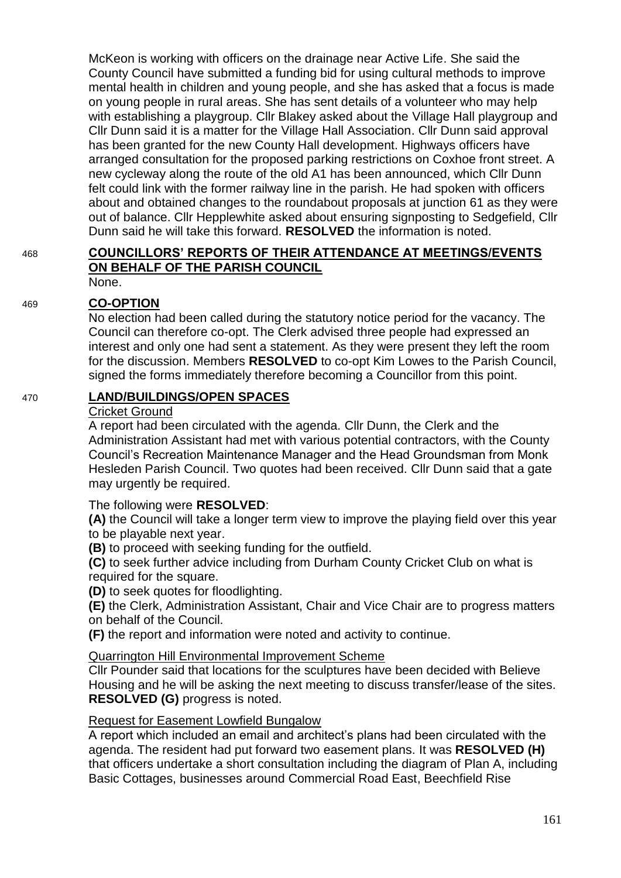McKeon is working with officers on the drainage near Active Life. She said the County Council have submitted a funding bid for using cultural methods to improve mental health in children and young people, and she has asked that a focus is made on young people in rural areas. She has sent details of a volunteer who may help with establishing a playgroup. Cllr Blakey asked about the Village Hall playgroup and Cllr Dunn said it is a matter for the Village Hall Association. Cllr Dunn said approval has been granted for the new County Hall development. Highways officers have arranged consultation for the proposed parking restrictions on Coxhoe front street. A new cycleway along the route of the old A1 has been announced, which Cllr Dunn felt could link with the former railway line in the parish. He had spoken with officers about and obtained changes to the roundabout proposals at junction 61 as they were out of balance. Cllr Hepplewhite asked about ensuring signposting to Sedgefield, Cllr Dunn said he will take this forward. **RESOLVED** the information is noted.

#### 468 **COUNCILLORS' REPORTS OF THEIR ATTENDANCE AT MEETINGS/EVENTS ON BEHALF OF THE PARISH COUNCIL** None.

# 469 **CO-OPTION**

No election had been called during the statutory notice period for the vacancy. The Council can therefore co-opt. The Clerk advised three people had expressed an interest and only one had sent a statement. As they were present they left the room for the discussion. Members **RESOLVED** to co-opt Kim Lowes to the Parish Council, signed the forms immediately therefore becoming a Councillor from this point.

# 470 **LAND/BUILDINGS/OPEN SPACES**

#### Cricket Ground

A report had been circulated with the agenda. Cllr Dunn, the Clerk and the Administration Assistant had met with various potential contractors, with the County Council's Recreation Maintenance Manager and the Head Groundsman from Monk Hesleden Parish Council. Two quotes had been received. Cllr Dunn said that a gate may urgently be required.

The following were **RESOLVED**:

**(A)** the Council will take a longer term view to improve the playing field over this year to be playable next year.

**(B)** to proceed with seeking funding for the outfield.

**(C)** to seek further advice including from Durham County Cricket Club on what is required for the square.

**(D)** to seek quotes for floodlighting.

**(E)** the Clerk, Administration Assistant, Chair and Vice Chair are to progress matters on behalf of the Council.

**(F)** the report and information were noted and activity to continue.

Quarrington Hill Environmental Improvement Scheme

Cllr Pounder said that locations for the sculptures have been decided with Believe Housing and he will be asking the next meeting to discuss transfer/lease of the sites. **RESOLVED (G)** progress is noted.

# Request for Easement Lowfield Bungalow

A report which included an email and architect's plans had been circulated with the agenda. The resident had put forward two easement plans. It was **RESOLVED (H)** that officers undertake a short consultation including the diagram of Plan A, including Basic Cottages, businesses around Commercial Road East, Beechfield Rise

161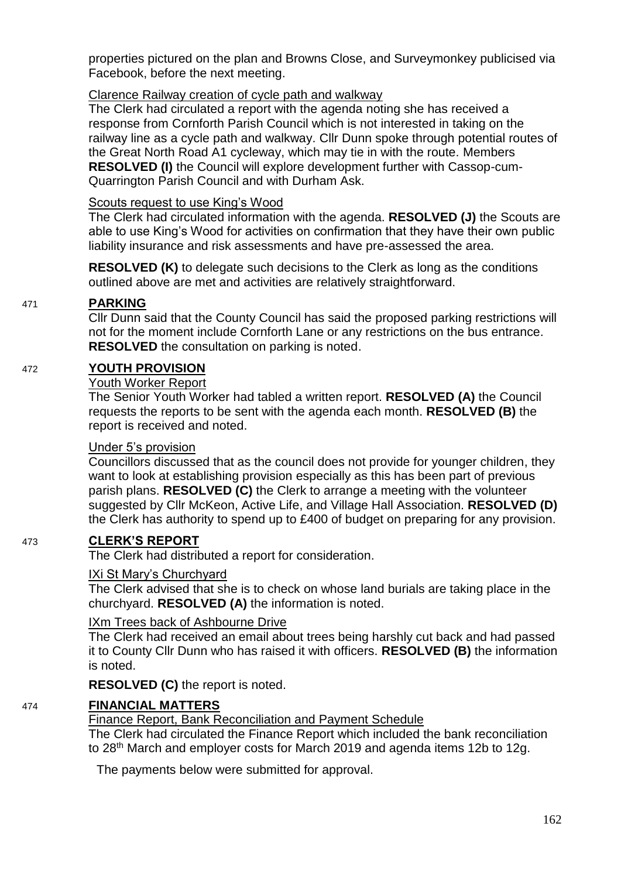properties pictured on the plan and Browns Close, and Surveymonkey publicised via Facebook, before the next meeting.

# Clarence Railway creation of cycle path and walkway

The Clerk had circulated a report with the agenda noting she has received a response from Cornforth Parish Council which is not interested in taking on the railway line as a cycle path and walkway. Cllr Dunn spoke through potential routes of the Great North Road A1 cycleway, which may tie in with the route. Members **RESOLVED (I)** the Council will explore development further with Cassop-cum-Quarrington Parish Council and with Durham Ask.

# Scouts request to use King's Wood

The Clerk had circulated information with the agenda. **RESOLVED (J)** the Scouts are able to use King's Wood for activities on confirmation that they have their own public liability insurance and risk assessments and have pre-assessed the area.

**RESOLVED (K)** to delegate such decisions to the Clerk as long as the conditions outlined above are met and activities are relatively straightforward.

# 471 **PARKING**

Cllr Dunn said that the County Council has said the proposed parking restrictions will not for the moment include Cornforth Lane or any restrictions on the bus entrance. **RESOLVED** the consultation on parking is noted.

# 472 **YOUTH PROVISION**

# Youth Worker Report

The Senior Youth Worker had tabled a written report. **RESOLVED (A)** the Council requests the reports to be sent with the agenda each month. **RESOLVED (B)** the report is received and noted.

# Under 5's provision

Councillors discussed that as the council does not provide for younger children, they want to look at establishing provision especially as this has been part of previous parish plans. **RESOLVED (C)** the Clerk to arrange a meeting with the volunteer suggested by Cllr McKeon, Active Life, and Village Hall Association. **RESOLVED (D)** the Clerk has authority to spend up to £400 of budget on preparing for any provision.

# 473 **CLERK'S REPORT**

The Clerk had distributed a report for consideration.

# IXi St Mary's Churchyard

The Clerk advised that she is to check on whose land burials are taking place in the churchyard. **RESOLVED (A)** the information is noted.

# IXm Trees back of Ashbourne Drive

The Clerk had received an email about trees being harshly cut back and had passed it to County Cllr Dunn who has raised it with officers. **RESOLVED (B)** the information is noted.

**RESOLVED (C)** the report is noted.

# 474 **FINANCIAL MATTERS**

Finance Report, Bank Reconciliation and Payment Schedule

The Clerk had circulated the Finance Report which included the bank reconciliation to 28<sup>th</sup> March and employer costs for March 2019 and agenda items 12b to 12g.

The payments below were submitted for approval.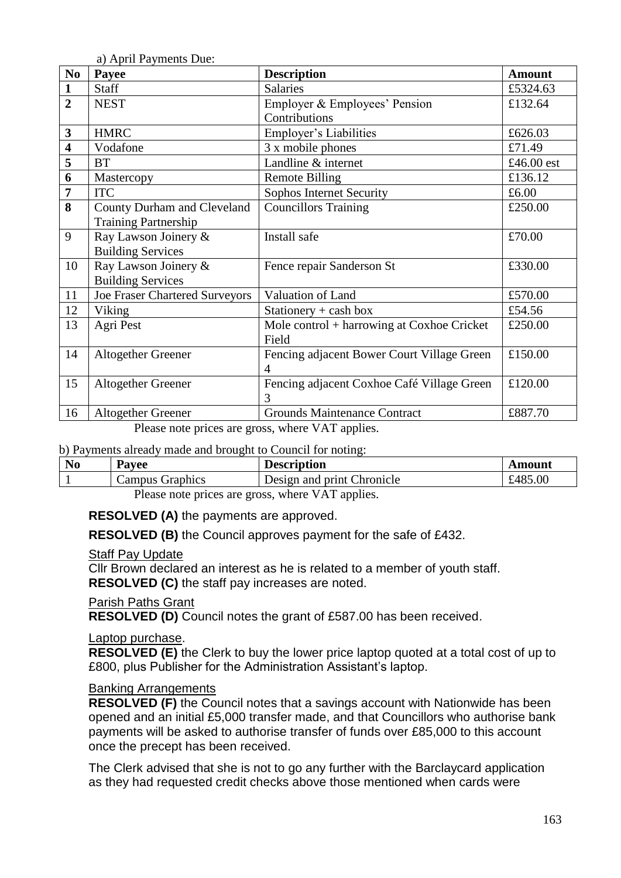a) April Payments Due:

| N <sub>0</sub>          | Payee                                 | <b>Description</b>                         | <b>Amount</b> |
|-------------------------|---------------------------------------|--------------------------------------------|---------------|
| $\mathbf{1}$            | <b>Staff</b>                          | <b>Salaries</b>                            | £5324.63      |
| $\overline{2}$          | <b>NEST</b>                           | Employer & Employees' Pension              | £132.64       |
|                         |                                       | Contributions                              |               |
| $\mathbf{3}$            | <b>HMRC</b>                           | Employer's Liabilities                     | £626.03       |
| $\overline{\mathbf{4}}$ | Vodafone                              | 3 x mobile phones                          | £71.49        |
| 5                       | <b>BT</b>                             | Landline & internet                        | £46.00 est    |
| 6                       | Mastercopy                            | <b>Remote Billing</b>                      | £136.12       |
| $\overline{7}$          | <b>ITC</b>                            | Sophos Internet Security                   | £6.00         |
| 8                       | County Durham and Cleveland           | <b>Councillors Training</b>                | £250.00       |
|                         | <b>Training Partnership</b>           |                                            |               |
| 9                       | Ray Lawson Joinery &                  | Install safe                               | £70.00        |
|                         | <b>Building Services</b>              |                                            |               |
| 10                      | Ray Lawson Joinery &                  | Fence repair Sanderson St                  | £330.00       |
|                         | <b>Building Services</b>              |                                            |               |
| 11                      | <b>Joe Fraser Chartered Surveyors</b> | Valuation of Land                          | £570.00       |
| 12                      | Viking                                | Stationery $+$ cash box                    | £54.56        |
| 13                      | Agri Pest                             | Mole control + harrowing at Coxhoe Cricket | £250.00       |
|                         |                                       | Field                                      |               |
| 14                      | <b>Altogether Greener</b>             | Fencing adjacent Bower Court Village Green | £150.00       |
|                         |                                       | 4                                          |               |
| 15                      | <b>Altogether Greener</b>             | Fencing adjacent Coxhoe Café Village Green | £120.00       |
|                         |                                       | 3                                          |               |
| 16                      | <b>Altogether Greener</b>             | <b>Grounds Maintenance Contract</b>        | £887.70       |

Please note prices are gross, where VAT applies.

#### b) Payments already made and brought to Council for noting:

| N <sub>0</sub> | Payee   |          | <b>Description</b>         | Amount  |
|----------------|---------|----------|----------------------------|---------|
|                | ampus ′ | Graphics | Design and print Chronicle | £485.00 |
|                | __      |          | .<br>____                  |         |

Please note prices are gross, where VAT applies.

**RESOLVED (A)** the payments are approved.

**RESOLVED (B)** the Council approves payment for the safe of £432.

#### Staff Pay Update

Cllr Brown declared an interest as he is related to a member of youth staff. **RESOLVED (C)** the staff pay increases are noted.

# Parish Paths Grant

**RESOLVED (D)** Council notes the grant of £587.00 has been received.

# Laptop purchase.

**RESOLVED (E)** the Clerk to buy the lower price laptop quoted at a total cost of up to £800, plus Publisher for the Administration Assistant's laptop.

#### Banking Arrangements

**RESOLVED (F)** the Council notes that a savings account with Nationwide has been opened and an initial £5,000 transfer made, and that Councillors who authorise bank payments will be asked to authorise transfer of funds over £85,000 to this account once the precept has been received.

The Clerk advised that she is not to go any further with the Barclaycard application as they had requested credit checks above those mentioned when cards were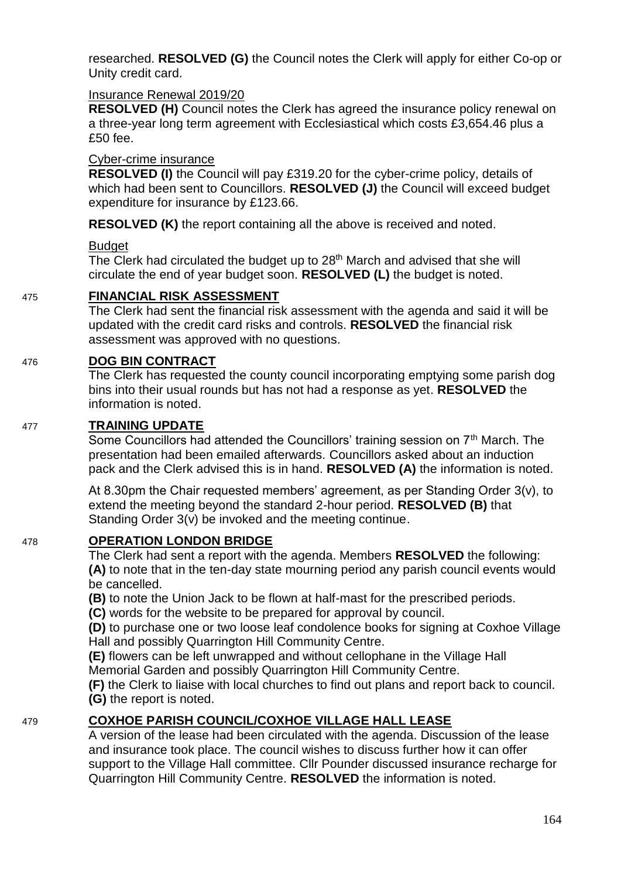researched. **RESOLVED (G)** the Council notes the Clerk will apply for either Co-op or Unity credit card.

# Insurance Renewal 2019/20

**RESOLVED (H)** Council notes the Clerk has agreed the insurance policy renewal on a three-year long term agreement with Ecclesiastical which costs £3,654.46 plus a £50 fee.

# Cyber-crime insurance

**RESOLVED (I)** the Council will pay £319.20 for the cyber-crime policy, details of which had been sent to Councillors. **RESOLVED (J)** the Council will exceed budget expenditure for insurance by £123.66.

**RESOLVED (K)** the report containing all the above is received and noted.

# **Budget**

The Clerk had circulated the budget up to 28<sup>th</sup> March and advised that she will circulate the end of year budget soon. **RESOLVED (L)** the budget is noted.

# 475 **FINANCIAL RISK ASSESSMENT**

The Clerk had sent the financial risk assessment with the agenda and said it will be updated with the credit card risks and controls. **RESOLVED** the financial risk assessment was approved with no questions.

# 476 **DOG BIN CONTRACT**

The Clerk has requested the county council incorporating emptying some parish dog bins into their usual rounds but has not had a response as yet. **RESOLVED** the information is noted.

# 477 **TRAINING UPDATE**

Some Councillors had attended the Councillors' training session on 7<sup>th</sup> March. The presentation had been emailed afterwards. Councillors asked about an induction pack and the Clerk advised this is in hand. **RESOLVED (A)** the information is noted.

At 8.30pm the Chair requested members' agreement, as per Standing Order 3(v), to extend the meeting beyond the standard 2-hour period. **RESOLVED (B)** that Standing Order 3(v) be invoked and the meeting continue.

# 478 **OPERATION LONDON BRIDGE**

The Clerk had sent a report with the agenda. Members **RESOLVED** the following: **(A)** to note that in the ten-day state mourning period any parish council events would be cancelled.

**(B)** to note the Union Jack to be flown at half-mast for the prescribed periods.

**(C)** words for the website to be prepared for approval by council.

**(D)** to purchase one or two loose leaf condolence books for signing at Coxhoe Village Hall and possibly Quarrington Hill Community Centre.

**(E)** flowers can be left unwrapped and without cellophane in the Village Hall Memorial Garden and possibly Quarrington Hill Community Centre.

**(F)** the Clerk to liaise with local churches to find out plans and report back to council. **(G)** the report is noted.

# 479 **COXHOE PARISH COUNCIL/COXHOE VILLAGE HALL LEASE**

A version of the lease had been circulated with the agenda. Discussion of the lease and insurance took place. The council wishes to discuss further how it can offer support to the Village Hall committee. Cllr Pounder discussed insurance recharge for Quarrington Hill Community Centre. **RESOLVED** the information is noted.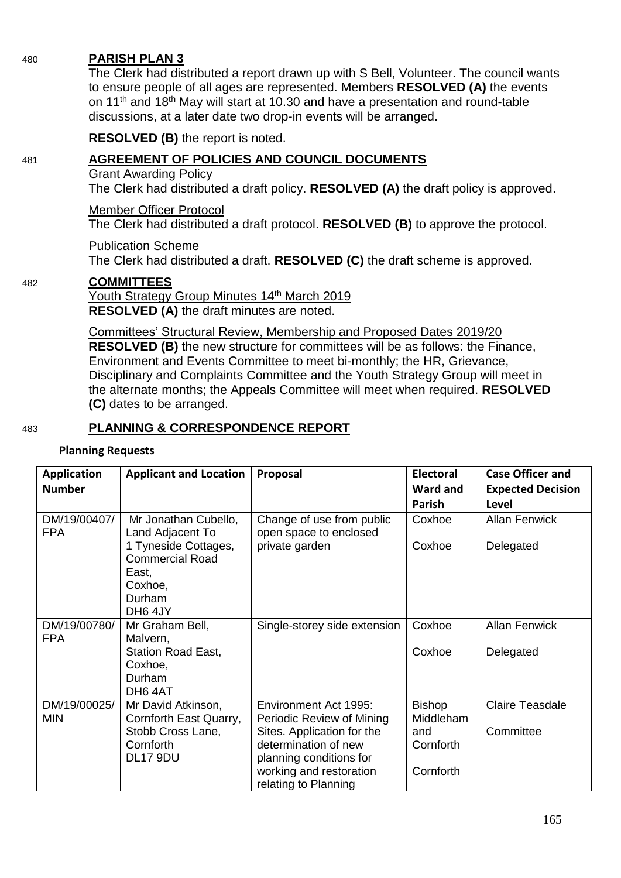#### 480 **PARISH PLAN 3**

The Clerk had distributed a report drawn up with S Bell, Volunteer. The council wants to ensure people of all ages are represented. Members **RESOLVED (A)** the events on 11<sup>th</sup> and 18<sup>th</sup> May will start at 10.30 and have a presentation and round-table discussions, at a later date two drop-in events will be arranged.

**RESOLVED (B)** the report is noted.

# 481 **AGREEMENT OF POLICIES AND COUNCIL DOCUMENTS**

#### Grant Awarding Policy

The Clerk had distributed a draft policy. **RESOLVED (A)** the draft policy is approved.

# Member Officer Protocol

The Clerk had distributed a draft protocol. **RESOLVED (B)** to approve the protocol.

# Publication Scheme

The Clerk had distributed a draft. **RESOLVED (C)** the draft scheme is approved.

# 482 **COMMITTEES**

Youth Strategy Group Minutes 14<sup>th</sup> March 2019 **RESOLVED (A)** the draft minutes are noted.

Committees' Structural Review, Membership and Proposed Dates 2019/20 **RESOLVED (B)** the new structure for committees will be as follows: the Finance, Environment and Events Committee to meet bi-monthly; the HR, Grievance, Disciplinary and Complaints Committee and the Youth Strategy Group will meet in the alternate months; the Appeals Committee will meet when required. **RESOLVED (C)** dates to be arranged.

# 483 **PLANNING & CORRESPONDENCE REPORT**

#### **Planning Requests**

| <b>Application</b>         | <b>Applicant and Location</b>                           | Proposal                                            | Electoral     | <b>Case Officer and</b>  |
|----------------------------|---------------------------------------------------------|-----------------------------------------------------|---------------|--------------------------|
| <b>Number</b>              |                                                         |                                                     | Ward and      | <b>Expected Decision</b> |
|                            |                                                         |                                                     | Parish        | Level                    |
| DM/19/00407/<br><b>FPA</b> | Mr Jonathan Cubello,<br>Land Adjacent To                | Change of use from public<br>open space to enclosed | Coxhoe        | <b>Allan Fenwick</b>     |
|                            | 1 Tyneside Cottages,<br><b>Commercial Road</b><br>East, | private garden                                      | Coxhoe        | Delegated                |
|                            | Coxhoe,                                                 |                                                     |               |                          |
|                            | Durham<br>DH6 4JY                                       |                                                     |               |                          |
| DM/19/00780/<br><b>FPA</b> | Mr Graham Bell,<br>Malvern,                             | Single-storey side extension                        | Coxhoe        | <b>Allan Fenwick</b>     |
|                            | <b>Station Road East,</b>                               |                                                     | Coxhoe        | Delegated                |
|                            | Coxhoe,<br>Durham                                       |                                                     |               |                          |
|                            | DH64AT                                                  |                                                     |               |                          |
| DM/19/00025/               | Mr David Atkinson,                                      | Environment Act 1995:                               | <b>Bishop</b> | <b>Claire Teasdale</b>   |
| <b>MIN</b>                 | Cornforth East Quarry,                                  | Periodic Review of Mining                           | Middleham     |                          |
|                            | Stobb Cross Lane,                                       | Sites. Application for the                          | and           | Committee                |
|                            | Cornforth                                               | determination of new                                | Cornforth     |                          |
|                            | <b>DL17 9DU</b>                                         | planning conditions for                             |               |                          |
|                            |                                                         | working and restoration<br>relating to Planning     | Cornforth     |                          |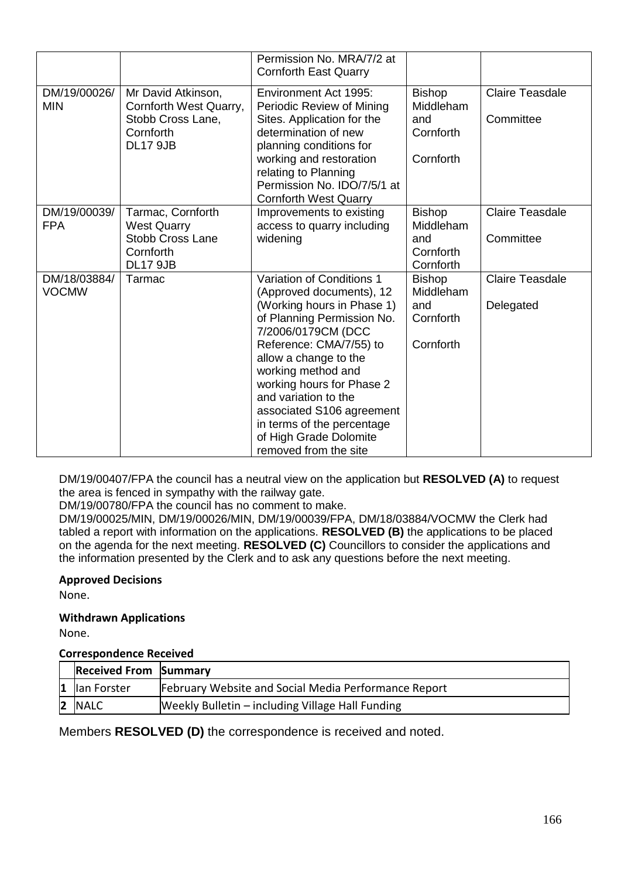|                              |                                                                                                    | Permission No. MRA/7/2 at<br><b>Cornforth East Quarry</b>                                                                                                                                                                                                                                                                                                                            |                                                             |                                     |
|------------------------------|----------------------------------------------------------------------------------------------------|--------------------------------------------------------------------------------------------------------------------------------------------------------------------------------------------------------------------------------------------------------------------------------------------------------------------------------------------------------------------------------------|-------------------------------------------------------------|-------------------------------------|
| DM/19/00026/<br><b>MIN</b>   | Mr David Atkinson,<br>Cornforth West Quarry,<br>Stobb Cross Lane,<br>Cornforth<br><b>DL17 9JB</b>  | Environment Act 1995:<br>Periodic Review of Mining<br>Sites. Application for the<br>determination of new<br>planning conditions for<br>working and restoration<br>relating to Planning<br>Permission No. IDO/7/5/1 at<br><b>Cornforth West Quarry</b>                                                                                                                                | <b>Bishop</b><br>Middleham<br>and<br>Cornforth<br>Cornforth | Claire Teasdale<br>Committee        |
| DM/19/00039/<br><b>FPA</b>   | Tarmac, Cornforth<br><b>West Quarry</b><br><b>Stobb Cross Lane</b><br>Cornforth<br><b>DL17 9JB</b> | Improvements to existing<br>access to quarry including<br>widening                                                                                                                                                                                                                                                                                                                   | <b>Bishop</b><br>Middleham<br>and<br>Cornforth<br>Cornforth | <b>Claire Teasdale</b><br>Committee |
| DM/18/03884/<br><b>VOCMW</b> | Tarmac                                                                                             | Variation of Conditions 1<br>(Approved documents), 12<br>(Working hours in Phase 1)<br>of Planning Permission No.<br>7/2006/0179CM (DCC<br>Reference: CMA/7/55) to<br>allow a change to the<br>working method and<br>working hours for Phase 2<br>and variation to the<br>associated S106 agreement<br>in terms of the percentage<br>of High Grade Dolomite<br>removed from the site | <b>Bishop</b><br>Middleham<br>and<br>Cornforth<br>Cornforth | <b>Claire Teasdale</b><br>Delegated |

DM/19/00407/FPA the council has a neutral view on the application but **RESOLVED (A)** to request the area is fenced in sympathy with the railway gate.

DM/19/00780/FPA the council has no comment to make.

DM/19/00025/MIN, DM/19/00026/MIN, DM/19/00039/FPA, DM/18/03884/VOCMW the Clerk had tabled a report with information on the applications. **RESOLVED (B)** the applications to be placed on the agenda for the next meeting. **RESOLVED (C)** Councillors to consider the applications and the information presented by the Clerk and to ask any questions before the next meeting.

# **Approved Decisions**

None.

# **Withdrawn Applications**

None.

#### **Correspondence Received**

| <b>Received From Summary</b> |                                                      |
|------------------------------|------------------------------------------------------|
| $ 1 $ lan Forster            | February Website and Social Media Performance Report |
| 2 NALC                       | Weekly Bulletin – including Village Hall Funding     |

Members **RESOLVED (D)** the correspondence is received and noted.